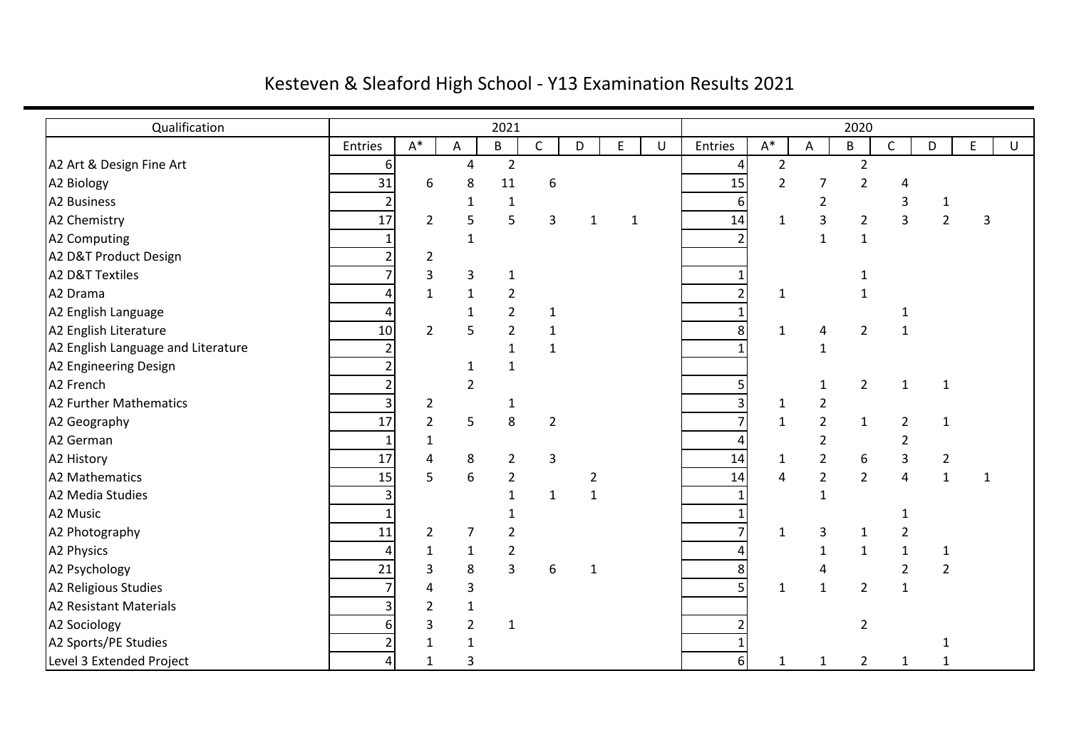## Kesteven & Sleaford High School - Y13 Examination Results 2021

| Qualification                      |         |                |                  | 2021           |                |                |   |             |                 |                |                | 2020           |                |                |              |   |
|------------------------------------|---------|----------------|------------------|----------------|----------------|----------------|---|-------------|-----------------|----------------|----------------|----------------|----------------|----------------|--------------|---|
|                                    | Entries | $\mathsf{A}^*$ | A                | B              | C              | D              | E | U           | Entries         | $\mathsf{A}^*$ | A              | B              | $\mathsf{C}$   | D              | E            | U |
| A2 Art & Design Fine Art           | 6       |                | 4                | $\overline{2}$ |                |                |   |             | 4               | $\overline{2}$ |                | $\overline{2}$ |                |                |              |   |
| A2 Biology                         | 31      | 6              | 8                | 11             | 6              |                |   |             | 15              | $\overline{2}$ | 7              | $\overline{2}$ | 4              |                |              |   |
| A2 Business                        |         |                | 1                | $\mathbf{1}$   |                |                |   |             | 6               |                | $\overline{2}$ |                | 3              | 1              |              |   |
| A2 Chemistry                       | 17      | $\overline{2}$ | 5                | 5              | 3              | $\mathbf{1}$   |   | $\mathbf 1$ | 14              | $\mathbf 1$    | 3              | $\overline{2}$ | 3              | $\overline{2}$ | 3            |   |
| A2 Computing                       |         |                | $\mathbf{1}$     |                |                |                |   |             |                 |                | $\mathbf{1}$   | $\mathbf 1$    |                |                |              |   |
| A2 D&T Product Design              |         | 2              |                  |                |                |                |   |             |                 |                |                |                |                |                |              |   |
| A2 D&T Textiles                    |         | 3              | 3                | $\mathbf{1}$   |                |                |   |             | 1               |                |                | 1              |                |                |              |   |
| A2 Drama                           |         | $\mathbf{1}$   | $\mathbf{1}$     | $\overline{2}$ |                |                |   |             | $\overline{2}$  | $\mathbf{1}$   |                | $\mathbf{1}$   |                |                |              |   |
| A2 English Language                |         |                | $\mathbf{1}$     | $\overline{2}$ | $\mathbf{1}$   |                |   |             | $\mathbf{1}$    |                |                |                |                |                |              |   |
| A2 English Literature              | 10      | $\overline{2}$ | 5                | $\overline{2}$ | $\mathbf 1$    |                |   |             | 8               | 1              | 4              | $\overline{2}$ | $\mathbf{1}$   |                |              |   |
| A2 English Language and Literature |         |                |                  | $\mathbf{1}$   | $\mathbf 1$    |                |   |             | $\mathbf{1}$    |                | $\mathbf{1}$   |                |                |                |              |   |
| A2 Engineering Design              |         |                | $\mathbf 1$      | $\mathbf{1}$   |                |                |   |             |                 |                |                |                |                |                |              |   |
| A2 French                          |         |                | $\overline{2}$   |                |                |                |   |             | 5               |                | $\mathbf{1}$   | $\overline{2}$ | $\mathbf{1}$   | $\mathbf{1}$   |              |   |
| A2 Further Mathematics             |         | 2              |                  | $\mathbf{1}$   |                |                |   |             | 3               | $\mathbf{1}$   | $\overline{2}$ |                |                |                |              |   |
| A2 Geography                       | 17      | $\overline{2}$ | 5                | 8              | $\overline{2}$ |                |   |             | $\overline{7}$  | $\mathbf{1}$   | $\overline{2}$ | $\mathbf{1}$   | $\overline{2}$ | $\mathbf{1}$   |              |   |
| A2 German                          |         | 1              |                  |                |                |                |   |             | 4               |                | $\overline{2}$ |                | $\overline{2}$ |                |              |   |
| A2 History                         | 17      | 4              | 8                | $\overline{2}$ | 3              |                |   |             | $\overline{14}$ | $\mathbf{1}$   | $\overline{2}$ | 6              | 3              | $\overline{2}$ |              |   |
| A2 Mathematics                     | 15      | 5              | $\boldsymbol{6}$ | $\overline{2}$ |                | $\overline{2}$ |   |             | 14              | 4              | $\overline{2}$ | $\overline{2}$ | $\overline{4}$ | $\mathbf{1}$   | $\mathbf{1}$ |   |
| A2 Media Studies                   |         |                |                  | 1              | $\mathbf{1}$   | $\mathbf{1}$   |   |             |                 |                | 1              |                |                |                |              |   |
| A2 Music                           |         |                |                  |                |                |                |   |             |                 |                |                |                | $\mathbf{1}$   |                |              |   |
| A2 Photography                     | 11      | $\overline{2}$ | 7                | $\overline{2}$ |                |                |   |             | $\overline{7}$  | $\mathbf{1}$   | 3              | $\mathbf{1}$   | $\overline{2}$ |                |              |   |
| A2 Physics                         |         | 1              | $\mathbf 1$      | $\overline{2}$ |                |                |   |             | 4               |                | $\mathbf{1}$   | $1\,$          | $\mathbf 1$    | ${\bf 1}$      |              |   |
| A2 Psychology                      | 21      | 3              | 8                | 3              | 6              | $\mathbf{1}$   |   |             | 8               |                | 4              |                | $\overline{2}$ | $\overline{2}$ |              |   |
| A2 Religious Studies               |         | 4              | 3                |                |                |                |   |             | 5               | $\mathbf{1}$   | $\mathbf{1}$   | $\overline{2}$ | $\mathbf{1}$   |                |              |   |
| <b>A2 Resistant Materials</b>      |         | $\overline{2}$ | $\mathbf{1}$     |                |                |                |   |             |                 |                |                |                |                |                |              |   |
| A2 Sociology                       |         | 3              | $\overline{2}$   | $\mathbf{1}$   |                |                |   |             | $\overline{2}$  |                |                | $\overline{2}$ |                |                |              |   |
| A2 Sports/PE Studies               |         | 1              | $\mathbf{1}$     |                |                |                |   |             | $\mathbf 1$     |                |                |                |                |                |              |   |
| Level 3 Extended Project           | 4       | $\mathbf{1}$   | 3                |                |                |                |   |             | 6               | $\mathbf{1}$   | 1              | $\overline{2}$ | $\mathbf{1}$   | 1              |              |   |